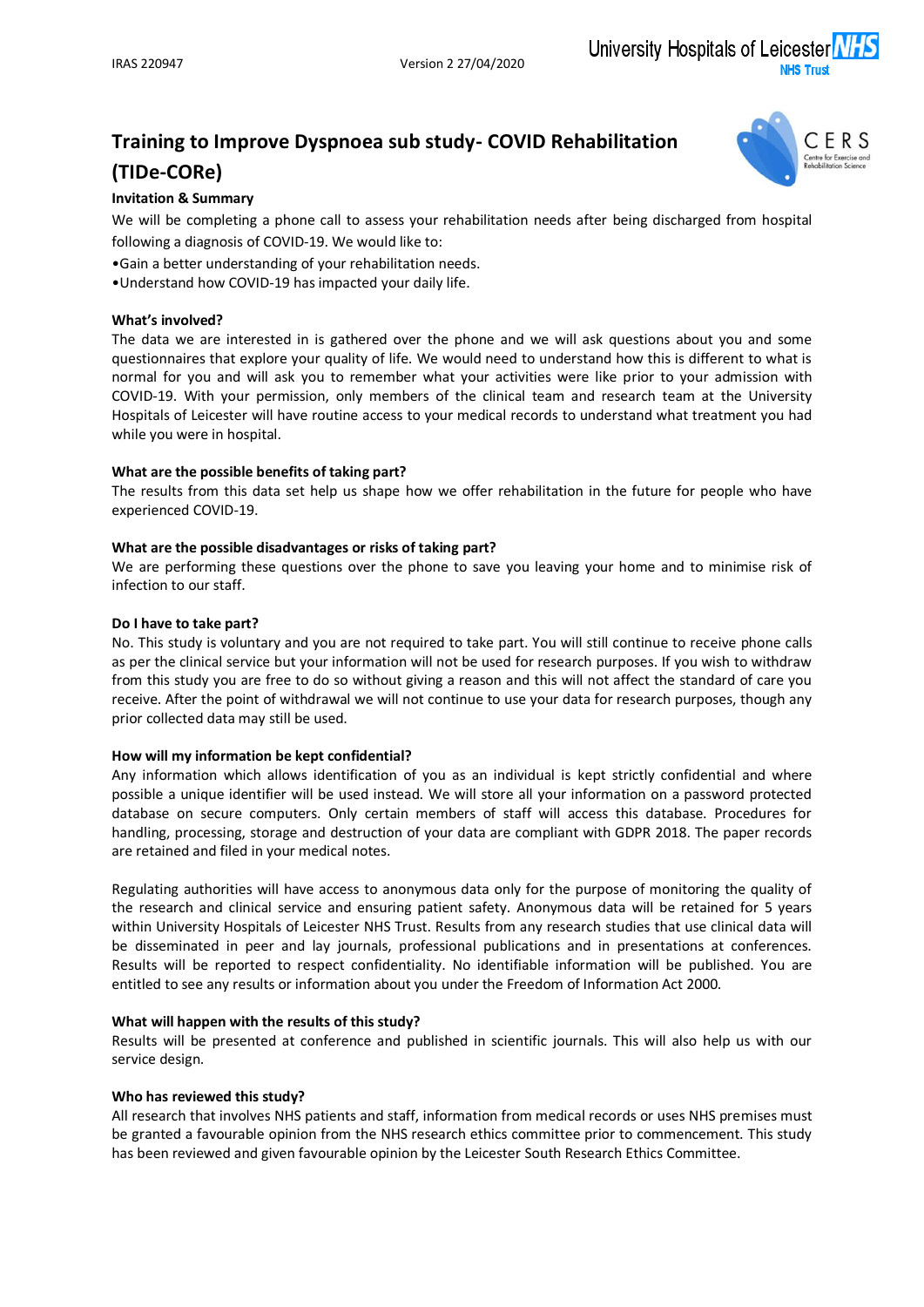University Hospitals of Leicester

# **Training to Improve Dyspnoea sub study- COVID Rehabilitation (TIDe-CORe)**



# **Invitation & Summary**

We will be completing a phone call to assess your rehabilitation needs after being discharged from hospital following a diagnosis of COVID-19. We would like to:

•Gain a better understanding of your rehabilitation needs.

•Understand how COVID-19 has impacted your daily life.

#### **What's involved?**

The data we are interested in is gathered over the phone and we will ask questions about you and some questionnaires that explore your quality of life. We would need to understand how this is different to what is normal for you and will ask you to remember what your activities were like prior to your admission with COVID-19. With your permission, only members of the clinical team and research team at the University Hospitals of Leicester will have routine access to your medical records to understand what treatment you had while you were in hospital.

## **What are the possible benefits of taking part?**

The results from this data set help us shape how we offer rehabilitation in the future for people who have experienced COVID-19.

#### **What are the possible disadvantages or risks of taking part?**

We are performing these questions over the phone to save you leaving your home and to minimise risk of infection to our staff.

#### **Do I have to take part?**

No. This study is voluntary and you are not required to take part. You will still continue to receive phone calls as per the clinical service but your information will not be used for research purposes. If you wish to withdraw from this study you are free to do so without giving a reason and this will not affect the standard of care you receive. After the point of withdrawal we will not continue to use your data for research purposes, though any prior collected data may still be used.

## **How will my information be kept confidential?**

Any information which allows identification of you as an individual is kept strictly confidential and where possible a unique identifier will be used instead. We will store all your information on a password protected database on secure computers. Only certain members of staff will access this database. Procedures for handling, processing, storage and destruction of your data are compliant with GDPR 2018. The paper records are retained and filed in your medical notes.

Regulating authorities will have access to anonymous data only for the purpose of monitoring the quality of the research and clinical service and ensuring patient safety. Anonymous data will be retained for 5 years within University Hospitals of Leicester NHS Trust. Results from any research studies that use clinical data will be disseminated in peer and lay journals, professional publications and in presentations at conferences. Results will be reported to respect confidentiality. No identifiable information will be published. You are entitled to see any results or information about you under the Freedom of Information Act 2000.

#### **What will happen with the results of this study?**

Results will be presented at conference and published in scientific journals. This will also help us with our service design.

#### **Who has reviewed this study?**

All research that involves NHS patients and staff, information from medical records or uses NHS premises must be granted a favourable opinion from the NHS research ethics committee prior to commencement. This study has been reviewed and given favourable opinion by the Leicester South Research Ethics Committee.